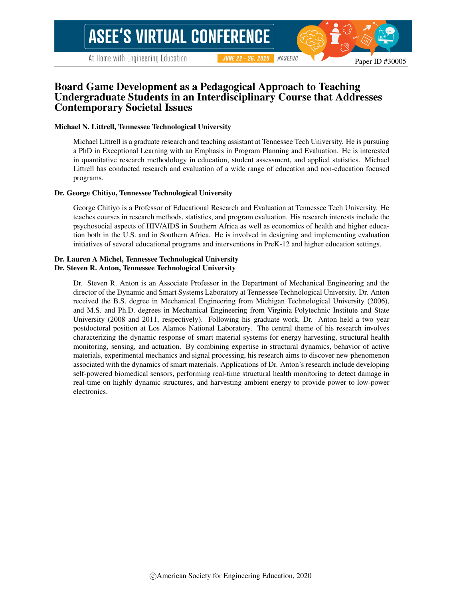# Board Game Development as a Pedagogical Approach to Teaching Undergraduate Students in an Interdisciplinary Course that Addresses Contemporary Societal Issues

#### Michael N. Littrell, Tennessee Technological University

Michael Littrell is a graduate research and teaching assistant at Tennessee Tech University. He is pursuing a PhD in Exceptional Learning with an Emphasis in Program Planning and Evaluation. He is interested in quantitative research methodology in education, student assessment, and applied statistics. Michael Littrell has conducted research and evaluation of a wide range of education and non-education focused programs.

#### Dr. George Chitiyo, Tennessee Technological University

George Chitiyo is a Professor of Educational Research and Evaluation at Tennessee Tech University. He teaches courses in research methods, statistics, and program evaluation. His research interests include the psychosocial aspects of HIV/AIDS in Southern Africa as well as economics of health and higher education both in the U.S. and in Southern Africa. He is involved in designing and implementing evaluation initiatives of several educational programs and interventions in PreK-12 and higher education settings.

#### Dr. Lauren A Michel, Tennessee Technological University Dr. Steven R. Anton, Tennessee Technological University

Dr. Steven R. Anton is an Associate Professor in the Department of Mechanical Engineering and the director of the Dynamic and Smart Systems Laboratory at Tennessee Technological University. Dr. Anton received the B.S. degree in Mechanical Engineering from Michigan Technological University (2006), and M.S. and Ph.D. degrees in Mechanical Engineering from Virginia Polytechnic Institute and State University (2008 and 2011, respectively). Following his graduate work, Dr. Anton held a two year postdoctoral position at Los Alamos National Laboratory. The central theme of his research involves characterizing the dynamic response of smart material systems for energy harvesting, structural health monitoring, sensing, and actuation. By combining expertise in structural dynamics, behavior of active materials, experimental mechanics and signal processing, his research aims to discover new phenomenon associated with the dynamics of smart materials. Applications of Dr. Anton's research include developing self-powered biomedical sensors, performing real-time structural health monitoring to detect damage in real-time on highly dynamic structures, and harvesting ambient energy to provide power to low-power electronics.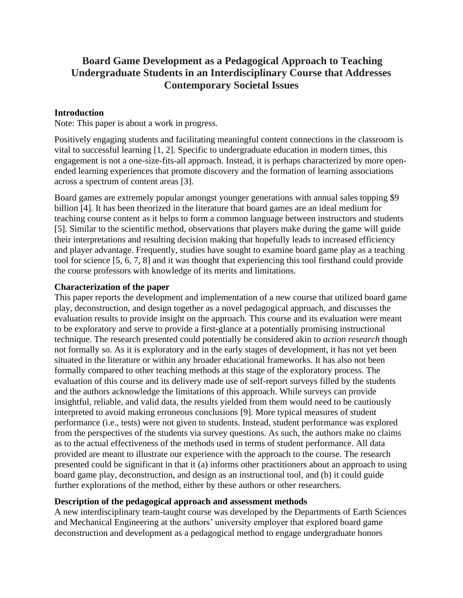# **Board Game Development as a Pedagogical Approach to Teaching Undergraduate Students in an Interdisciplinary Course that Addresses Contemporary Societal Issues**

#### **Introduction**

Note: This paper is about a work in progress.

Positively engaging students and facilitating meaningful content connections in the classroom is vital to successful learning [1, 2]. Specific to undergraduate education in modern times, this engagement is not a one-size-fits-all approach. Instead, it is perhaps characterized by more openended learning experiences that promote discovery and the formation of learning associations across a spectrum of content areas [3].

Board games are extremely popular amongst younger generations with annual sales topping \$9 billion [4]. It has been theorized in the literature that board games are an ideal medium for teaching course content as it helps to form a common language between instructors and students [5]. Similar to the scientific method, observations that players make during the game will guide their interpretations and resulting decision making that hopefully leads to increased efficiency and player advantage. Frequently, studies have sought to examine board game play as a teaching tool for science [5, 6, 7, 8] and it was thought that experiencing this tool firsthand could provide the course professors with knowledge of its merits and limitations.

#### **Characterization of the paper**

This paper reports the development and implementation of a new course that utilized board game play, deconstruction, and design together as a novel pedagogical approach, and discusses the evaluation results to provide insight on the approach. This course and its evaluation were meant to be exploratory and serve to provide a first-glance at a potentially promising instructional technique. The research presented could potentially be considered akin to *action research* though not formally so. As it is exploratory and in the early stages of development, it has not yet been situated in the literature or within any broader educational frameworks. It has also not been formally compared to other teaching methods at this stage of the exploratory process. The evaluation of this course and its delivery made use of self-report surveys filled by the students and the authors acknowledge the limitations of this approach. While surveys can provide insightful, reliable, and valid data, the results yielded from them would need to be cautiously interpreted to avoid making erroneous conclusions [9]. More typical measures of student performance (i.e., tests) were not given to students. Instead, student performance was explored from the perspectives of the students via survey questions. As such, the authors make no claims as to the actual effectiveness of the methods used in terms of student performance. All data provided are meant to illustrate our experience with the approach to the course. The research presented could be significant in that it (a) informs other practitioners about an approach to using board game play, deconstruction, and design as an instructional tool, and (b) it could guide further explorations of the method, either by these authors or other researchers.

#### **Description of the pedagogical approach and assessment methods**

A new interdisciplinary team-taught course was developed by the Departments of Earth Sciences and Mechanical Engineering at the authors' university employer that explored board game deconstruction and development as a pedagogical method to engage undergraduate honors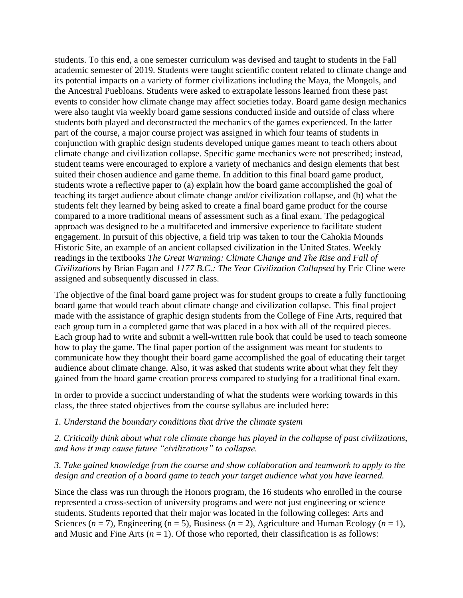students. To this end, a one semester curriculum was devised and taught to students in the Fall academic semester of 2019. Students were taught scientific content related to climate change and its potential impacts on a variety of former civilizations including the Maya, the Mongols, and the Ancestral Puebloans. Students were asked to extrapolate lessons learned from these past events to consider how climate change may affect societies today. Board game design mechanics were also taught via weekly board game sessions conducted inside and outside of class where students both played and deconstructed the mechanics of the games experienced. In the latter part of the course, a major course project was assigned in which four teams of students in conjunction with graphic design students developed unique games meant to teach others about climate change and civilization collapse. Specific game mechanics were not prescribed; instead, student teams were encouraged to explore a variety of mechanics and design elements that best suited their chosen audience and game theme. In addition to this final board game product, students wrote a reflective paper to (a) explain how the board game accomplished the goal of teaching its target audience about climate change and/or civilization collapse, and (b) what the students felt they learned by being asked to create a final board game product for the course compared to a more traditional means of assessment such as a final exam. The pedagogical approach was designed to be a multifaceted and immersive experience to facilitate student engagement. In pursuit of this objective, a field trip was taken to tour the Cahokia Mounds Historic Site, an example of an ancient collapsed civilization in the United States. Weekly readings in the textbooks *The Great Warming: Climate Change and The Rise and Fall of Civilizations* by Brian Fagan and *1177 B.C.: The Year Civilization Collapsed* by Eric Cline were assigned and subsequently discussed in class.

The objective of the final board game project was for student groups to create a fully functioning board game that would teach about climate change and civilization collapse. This final project made with the assistance of graphic design students from the College of Fine Arts, required that each group turn in a completed game that was placed in a box with all of the required pieces. Each group had to write and submit a well-written rule book that could be used to teach someone how to play the game. The final paper portion of the assignment was meant for students to communicate how they thought their board game accomplished the goal of educating their target audience about climate change. Also, it was asked that students write about what they felt they gained from the board game creation process compared to studying for a traditional final exam.

In order to provide a succinct understanding of what the students were working towards in this class, the three stated objectives from the course syllabus are included here:

#### *1. Understand the boundary conditions that drive the climate system*

*2. Critically think about what role climate change has played in the collapse of past civilizations, and how it may cause future "civilizations" to collapse.*

#### *3. Take gained knowledge from the course and show collaboration and teamwork to apply to the design and creation of a board game to teach your target audience what you have learned.*

Since the class was run through the Honors program, the 16 students who enrolled in the course represented a cross-section of university programs and were not just engineering or science students. Students reported that their major was located in the following colleges: Arts and Sciences ( $n = 7$ ), Engineering ( $n = 5$ ), Business ( $n = 2$ ), Agriculture and Human Ecology ( $n = 1$ ), and Music and Fine Arts  $(n = 1)$ . Of those who reported, their classification is as follows: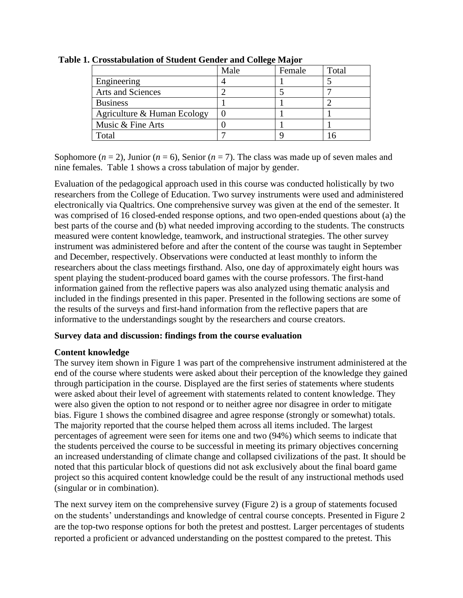|                             | Male | Female | Total |
|-----------------------------|------|--------|-------|
| Engineering                 |      |        |       |
| <b>Arts and Sciences</b>    |      |        |       |
| <b>Business</b>             |      |        |       |
| Agriculture & Human Ecology |      |        |       |
| Music & Fine Arts           |      |        |       |
| Total                       |      |        |       |

**Table 1. Crosstabulation of Student Gender and College Major**

Sophomore  $(n = 2)$ , Junior  $(n = 6)$ , Senior  $(n = 7)$ . The class was made up of seven males and nine females. Table 1 shows a cross tabulation of major by gender.

Evaluation of the pedagogical approach used in this course was conducted holistically by two researchers from the College of Education. Two survey instruments were used and administered electronically via Qualtrics. One comprehensive survey was given at the end of the semester. It was comprised of 16 closed-ended response options, and two open-ended questions about (a) the best parts of the course and (b) what needed improving according to the students. The constructs measured were content knowledge, teamwork, and instructional strategies. The other survey instrument was administered before and after the content of the course was taught in September and December, respectively. Observations were conducted at least monthly to inform the researchers about the class meetings firsthand. Also, one day of approximately eight hours was spent playing the student-produced board games with the course professors. The first-hand information gained from the reflective papers was also analyzed using thematic analysis and included in the findings presented in this paper. Presented in the following sections are some of the results of the surveys and first-hand information from the reflective papers that are informative to the understandings sought by the researchers and course creators.

## **Survey data and discussion: findings from the course evaluation**

## **Content knowledge**

The survey item shown in Figure 1 was part of the comprehensive instrument administered at the end of the course where students were asked about their perception of the knowledge they gained through participation in the course. Displayed are the first series of statements where students were asked about their level of agreement with statements related to content knowledge. They were also given the option to not respond or to neither agree nor disagree in order to mitigate bias. Figure 1 shows the combined disagree and agree response (strongly or somewhat) totals. The majority reported that the course helped them across all items included. The largest percentages of agreement were seen for items one and two (94%) which seems to indicate that the students perceived the course to be successful in meeting its primary objectives concerning an increased understanding of climate change and collapsed civilizations of the past. It should be noted that this particular block of questions did not ask exclusively about the final board game project so this acquired content knowledge could be the result of any instructional methods used (singular or in combination).

The next survey item on the comprehensive survey (Figure 2) is a group of statements focused on the students' understandings and knowledge of central course concepts. Presented in Figure 2 are the top-two response options for both the pretest and posttest. Larger percentages of students reported a proficient or advanced understanding on the posttest compared to the pretest. This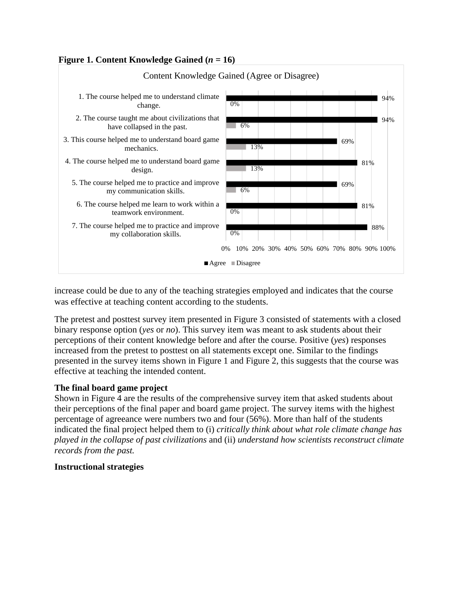## **Figure 1. Content Knowledge Gained**  $(n = 16)$



increase could be due to any of the teaching strategies employed and indicates that the course was effective at teaching content according to the students.

The pretest and posttest survey item presented in Figure 3 consisted of statements with a closed binary response option (*yes* or *no*). This survey item was meant to ask students about their perceptions of their content knowledge before and after the course. Positive (*yes*) responses increased from the pretest to posttest on all statements except one. Similar to the findings presented in the survey items shown in Figure 1 and Figure 2, this suggests that the course was effective at teaching the intended content.

## **The final board game project**

Shown in Figure 4 are the results of the comprehensive survey item that asked students about their perceptions of the final paper and board game project. The survey items with the highest percentage of agreeance were numbers two and four (56%). More than half of the students indicated the final project helped them to (i) *critically think about what role climate change has played in the collapse of past civilizations* and (ii) *understand how scientists reconstruct climate records from the past.*

## **Instructional strategies**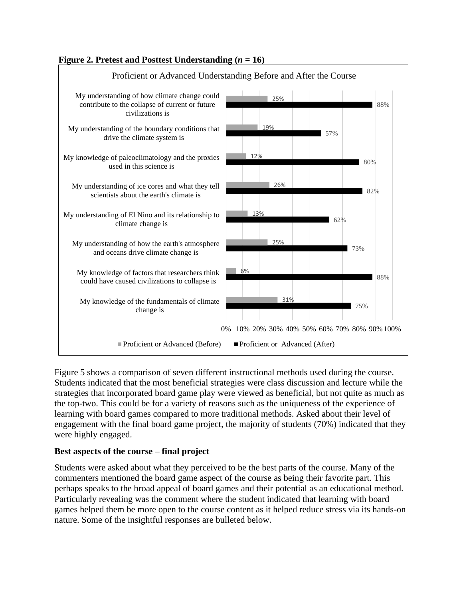# **Figure 2. Pretest and Posttest Understanding**  $(n = 16)$



Proficient or Advanced Understanding Before and After the Course

Figure 5 shows a comparison of seven different instructional methods used during the course. Students indicated that the most beneficial strategies were class discussion and lecture while the strategies that incorporated board game play were viewed as beneficial, but not quite as much as the top-two. This could be for a variety of reasons such as the uniqueness of the experience of learning with board games compared to more traditional methods. Asked about their level of engagement with the final board game project, the majority of students (70%) indicated that they were highly engaged.

## **Best aspects of the course – final project**

Students were asked about what they perceived to be the best parts of the course. Many of the commenters mentioned the board game aspect of the course as being their favorite part. This perhaps speaks to the broad appeal of board games and their potential as an educational method. Particularly revealing was the comment where the student indicated that learning with board games helped them be more open to the course content as it helped reduce stress via its hands-on nature. Some of the insightful responses are bulleted below.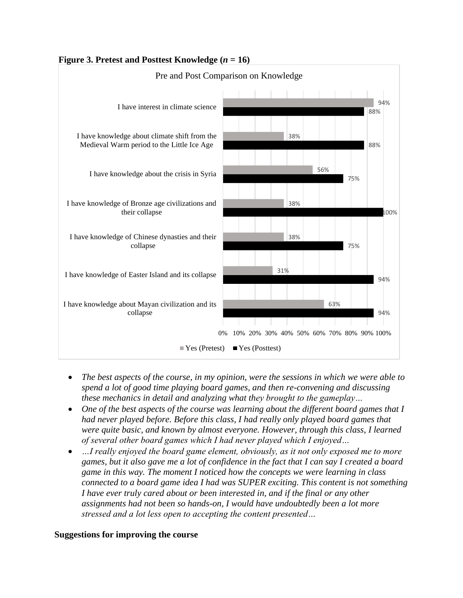

# **Figure 3. Pretest and Posttest Knowledge (***n* **= 16)**

- *The best aspects of the course, in my opinion, were the sessions in which we were able to spend a lot of good time playing board games, and then re-convening and discussing these mechanics in detail and analyzing what they brought to the gameplay…*
- *One of the best aspects of the course was learning about the different board games that I had never played before. Before this class, I had really only played board games that were quite basic, and known by almost everyone. However, through this class, I learned of several other board games which I had never played which I enjoyed…*
- *…I really enjoyed the board game element, obviously, as it not only exposed me to more games, but it also gave me a lot of confidence in the fact that I can say I created a board game in this way. The moment I noticed how the concepts we were learning in class connected to a board game idea I had was SUPER exciting. This content is not something I have ever truly cared about or been interested in, and if the final or any other assignments had not been so hands-on, I would have undoubtedly been a lot more stressed and a lot less open to accepting the content presented…*

## **Suggestions for improving the course**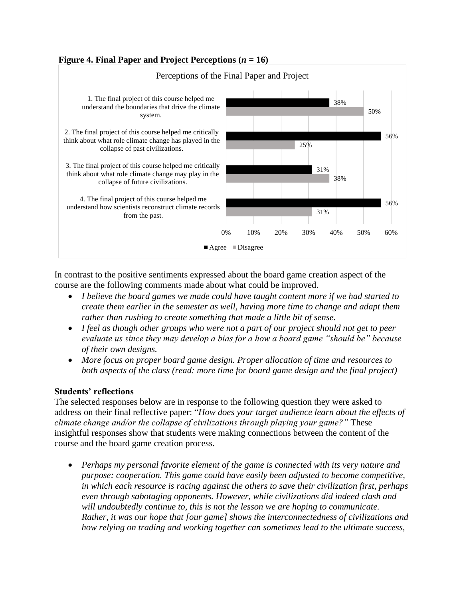# **Figure 4. Final Paper and Project Perceptions**  $(n = 16)$



In contrast to the positive sentiments expressed about the board game creation aspect of the course are the following comments made about what could be improved.

- *I believe the board games we made could have taught content more if we had started to create them earlier in the semester as well, having more time to change and adapt them rather than rushing to create something that made a little bit of sense.*
- *I feel as though other groups who were not a part of our project should not get to peer evaluate us since they may develop a bias for a how a board game "should be" because of their own designs.*
- *More focus on proper board game design. Proper allocation of time and resources to both aspects of the class (read: more time for board game design and the final project)*

## **Students' reflections**

The selected responses below are in response to the following question they were asked to address on their final reflective paper: "*How does your target audience learn about the effects of climate change and/or the collapse of civilizations through playing your game?"* These insightful responses show that students were making connections between the content of the course and the board game creation process.

• *Perhaps my personal favorite element of the game is connected with its very nature and purpose: cooperation. This game could have easily been adjusted to become competitive, in which each resource is racing against the others to save their civilization first, perhaps even through sabotaging opponents. However, while civilizations did indeed clash and will undoubtedly continue to, this is not the lesson we are hoping to communicate. Rather, it was our hope that [our game] shows the interconnectedness of civilizations and how relying on trading and working together can sometimes lead to the ultimate success,*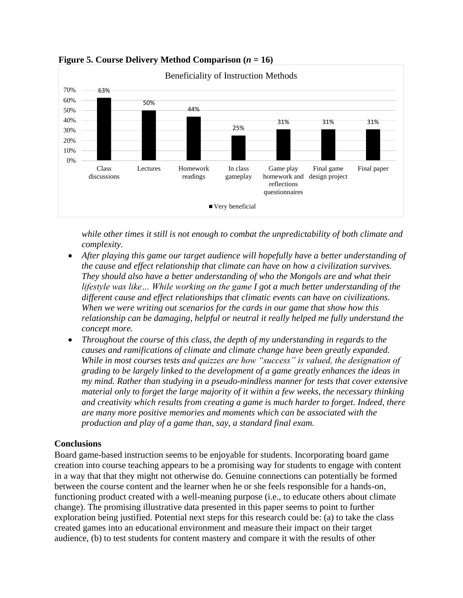

**Figure 5. Course Delivery Method Comparison**  $(n = 16)$ 

*while other times it still is not enough to combat the unpredictability of both climate and complexity.*

- *After playing this game our target audience will hopefully have a better understanding of the cause and effect relationship that climate can have on how a civilization survives. They should also have a better understanding of who the Mongols are and what their lifestyle was like… While working on the game I got a much better understanding of the different cause and effect relationships that climatic events can have on civilizations. When we were writing out scenarios for the cards in our game that show how this relationship can be damaging, helpful or neutral it really helped me fully understand the concept more.*
- *Throughout the course of this class, the depth of my understanding in regards to the causes and ramifications of climate and climate change have been greatly expanded. While in most courses tests and quizzes are how "success" is valued, the designation of grading to be largely linked to the development of a game greatly enhances the ideas in my mind. Rather than studying in a pseudo-mindless manner for tests that cover extensive material only to forget the large majority of it within a few weeks, the necessary thinking and creativity which results from creating a game is much harder to forget. Indeed, there are many more positive memories and moments which can be associated with the production and play of a game than, say, a standard final exam.*

## **Conclusions**

Board game-based instruction seems to be enjoyable for students. Incorporating board game creation into course teaching appears to be a promising way for students to engage with content in a way that that they might not otherwise do. Genuine connections can potentially be formed between the course content and the learner when he or she feels responsible for a hands-on, functioning product created with a well-meaning purpose (i.e., to educate others about climate change). The promising illustrative data presented in this paper seems to point to further exploration being justified. Potential next steps for this research could be: (a) to take the class created games into an educational environment and measure their impact on their target audience, (b) to test students for content mastery and compare it with the results of other